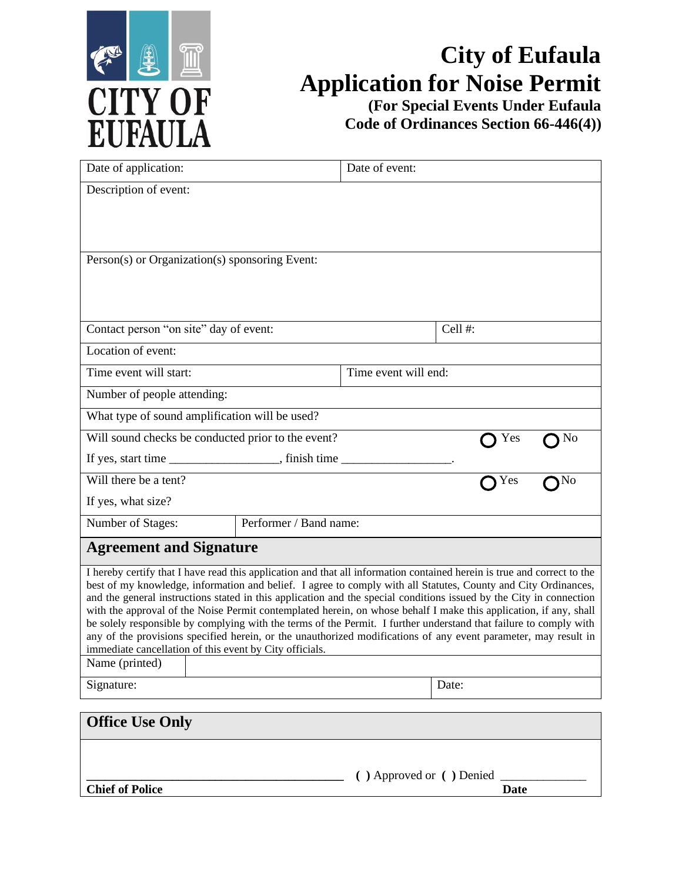

## **City of Eufaula Application for Noise Permit**

**(For Special Events Under Eufaula Code of Ordinances Section 66-446(4))**

| Date of application:                                                                                                                                                                                                                     |                        | Date of event:       |                                |    |
|------------------------------------------------------------------------------------------------------------------------------------------------------------------------------------------------------------------------------------------|------------------------|----------------------|--------------------------------|----|
| Description of event:                                                                                                                                                                                                                    |                        |                      |                                |    |
|                                                                                                                                                                                                                                          |                        |                      |                                |    |
|                                                                                                                                                                                                                                          |                        |                      |                                |    |
| Person(s) or Organization(s) sponsoring Event:                                                                                                                                                                                           |                        |                      |                                |    |
|                                                                                                                                                                                                                                          |                        |                      |                                |    |
|                                                                                                                                                                                                                                          |                        |                      |                                |    |
| Contact person "on site" day of event:                                                                                                                                                                                                   |                        |                      | Cell #:                        |    |
| Location of event:                                                                                                                                                                                                                       |                        |                      |                                |    |
| Time event will start:                                                                                                                                                                                                                   |                        | Time event will end: |                                |    |
| Number of people attending:                                                                                                                                                                                                              |                        |                      |                                |    |
| What type of sound amplification will be used?                                                                                                                                                                                           |                        |                      |                                |    |
| Will sound checks be conducted prior to the event?<br>No<br>Yes                                                                                                                                                                          |                        |                      |                                |    |
|                                                                                                                                                                                                                                          |                        |                      |                                |    |
| Will there be a tent?                                                                                                                                                                                                                    |                        |                      | Yes                            | No |
| If yes, what size?                                                                                                                                                                                                                       |                        |                      |                                |    |
| Number of Stages:                                                                                                                                                                                                                        | Performer / Band name: |                      |                                |    |
| <b>Agreement and Signature</b>                                                                                                                                                                                                           |                        |                      |                                |    |
| I hereby certify that I have read this application and that all information contained herein is true and correct to the                                                                                                                  |                        |                      |                                |    |
| best of my knowledge, information and belief. I agree to comply with all Statutes, County and City Ordinances,                                                                                                                           |                        |                      |                                |    |
| and the general instructions stated in this application and the special conditions issued by the City in connection<br>with the approval of the Noise Permit contemplated herein, on whose behalf I make this application, if any, shall |                        |                      |                                |    |
| be solely responsible by complying with the terms of the Permit. I further understand that failure to comply with                                                                                                                        |                        |                      |                                |    |
| any of the provisions specified herein, or the unauthorized modifications of any event parameter, may result in                                                                                                                          |                        |                      |                                |    |
| immediate cancellation of this event by City officials.<br>Name (printed)                                                                                                                                                                |                        |                      |                                |    |
|                                                                                                                                                                                                                                          |                        |                      |                                |    |
| Signature:                                                                                                                                                                                                                               |                        |                      | Date:                          |    |
| <b>Office Use Only</b>                                                                                                                                                                                                                   |                        |                      |                                |    |
|                                                                                                                                                                                                                                          |                        |                      |                                |    |
|                                                                                                                                                                                                                                          |                        |                      |                                |    |
|                                                                                                                                                                                                                                          |                        |                      | () Approved or () Denied _____ |    |
| <b>Chief of Police</b>                                                                                                                                                                                                                   |                        |                      | <b>Date</b>                    |    |